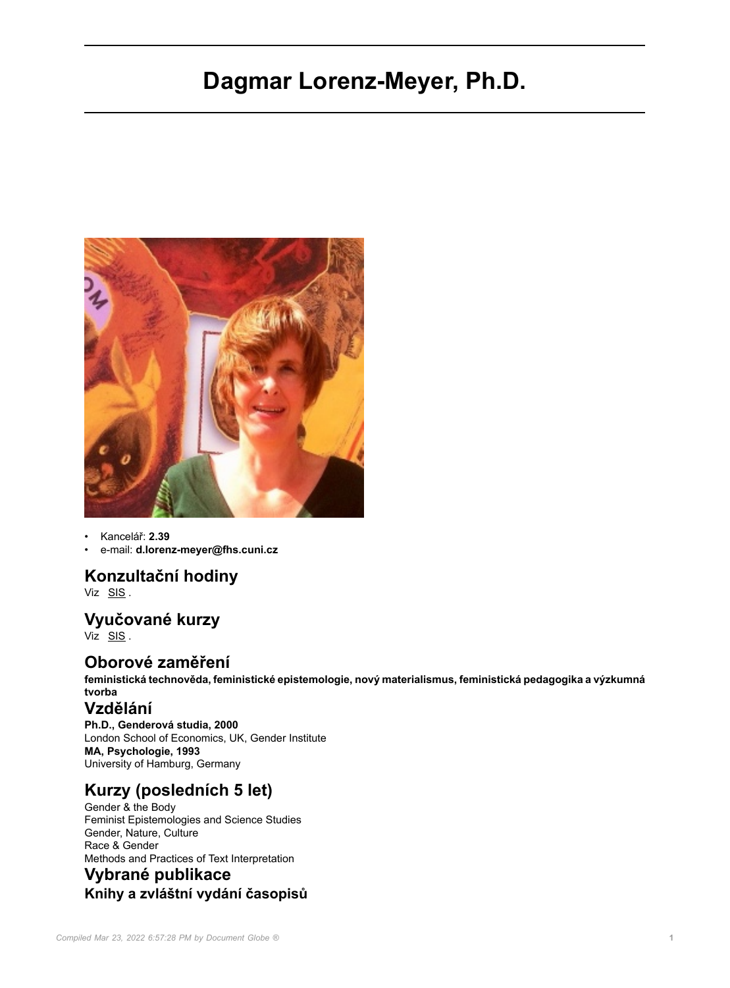# **Dagmar Lorenz-Meyer, Ph.D.**



• Kancelář: **2.39**

• e-mail: **d.lorenz-meyer@fhs.cuni.cz**

# **Konzultační hodiny**

Viz [SIS](https://is.cuni.cz/studium/kdojekdo/index.php?id=f16c27a1c921b41edad28be3fc21f930&tid=3&do=detailuc&kuc=14685) .

# **Vyučované kurzy**

Viz [SIS](https://is.cuni.cz/studium/predmety/index.php?id=648fe396b24ca23491b7f3e6ad0de45f&tid=1&do=ucit&kod=14685) .

#### **Oborové zaměření**

**feministická technověda, feministické epistemologie, nový materialismus, feministická pedagogika a výzkumná tvorba**

#### **Vzdělání**

**Ph.D., Genderová studia, 2000** London School of Economics, UK, Gender Institute **MA, Psychologie, 1993** University of Hamburg, Germany

# **Kurzy (posledních 5 let)**

Gender & the Body Feminist Epistemologies and Science Studies Gender, Nature, Culture Race & Gender Methods and Practices of Text Interpretation

# **Vybrané publikace Knihy a zvláštní vydání časopisů**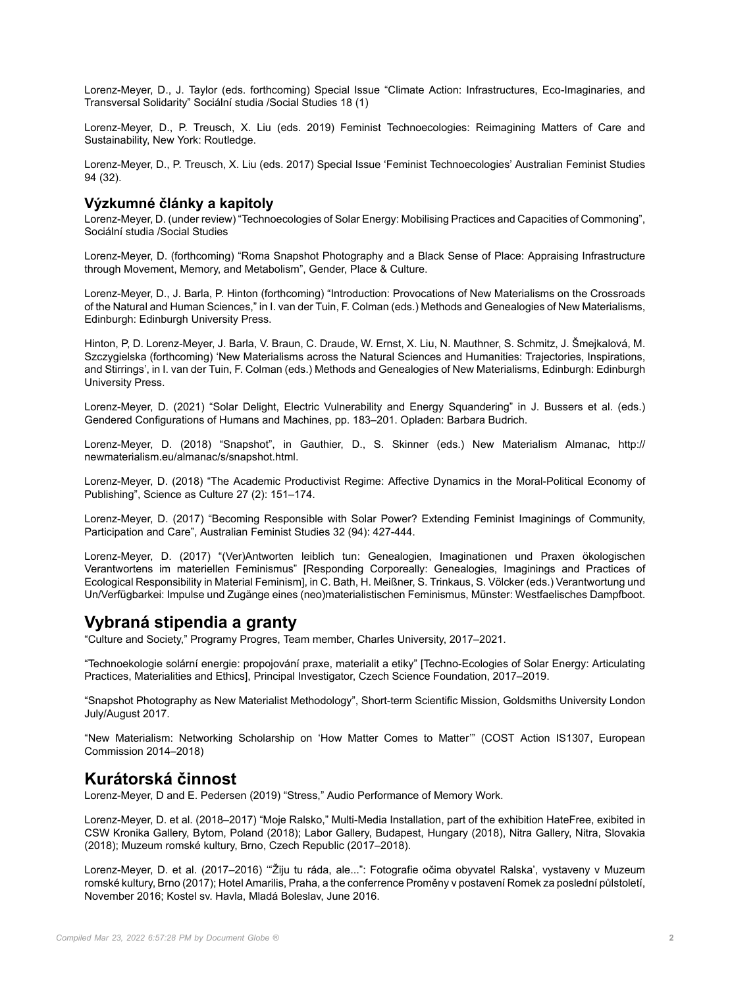Lorenz-Meyer, D., J. Taylor (eds. forthcoming) Special Issue "Climate Action: Infrastructures, Eco-Imaginaries, and Transversal Solidarity" Sociální studia /Social Studies 18 (1)

Lorenz-Meyer, D., P. Treusch, X. Liu (eds. 2019) Feminist Technoecologies: Reimagining Matters of Care and Sustainability, New York: Routledge.

Lorenz-Meyer, D., P. Treusch, X. Liu (eds. 2017) Special Issue 'Feminist Technoecologies' Australian Feminist Studies 94 (32).

#### **Výzkumné články a kapitoly**

Lorenz-Meyer, D. (under review) "Technoecologies of Solar Energy: Mobilising Practices and Capacities of Commoning", Sociální studia /Social Studies

Lorenz-Meyer, D. (forthcoming) "Roma Snapshot Photography and a Black Sense of Place: Appraising Infrastructure through Movement, Memory, and Metabolism", Gender, Place & Culture.

Lorenz-Meyer, D., J. Barla, P. Hinton (forthcoming) "Introduction: Provocations of New Materialisms on the Crossroads of the Natural and Human Sciences," in I. van der Tuin, F. Colman (eds.) Methods and Genealogies of New Materialisms, Edinburgh: Edinburgh University Press.

Hinton, P, D. Lorenz-Meyer, J. Barla, V. Braun, C. Draude, W. Ernst, X. Liu, N. Mauthner, S. Schmitz, J. Šmejkalová, M. Szczygielska (forthcoming) 'New Materialisms across the Natural Sciences and Humanities: Trajectories, Inspirations, and Stirrings', in I. van der Tuin, F. Colman (eds.) Methods and Genealogies of New Materialisms, Edinburgh: Edinburgh University Press.

Lorenz-Meyer, D. (2021) "Solar Delight, Electric Vulnerability and Energy Squandering" in J. Bussers et al. (eds.) Gendered Configurations of Humans and Machines, pp. 183–201. Opladen: Barbara Budrich.

Lorenz-Meyer, D. (2018) "Snapshot", in Gauthier, D., S. Skinner (eds.) New Materialism Almanac, http:// newmaterialism.eu/almanac/s/snapshot.html.

Lorenz-Meyer, D. (2018) "The Academic Productivist Regime: Affective Dynamics in the Moral-Political Economy of Publishing", Science as Culture 27 (2): 151–174.

Lorenz-Meyer, D. (2017) "Becoming Responsible with Solar Power? Extending Feminist Imaginings of Community, Participation and Care", Australian Feminist Studies 32 (94): 427-444.

Lorenz-Meyer, D. (2017) "(Ver)Antworten leiblich tun: Genealogien, Imaginationen und Praxen ökologischen Verantwortens im materiellen Feminismus" [Responding Corporeally: Genealogies, Imaginings and Practices of Ecological Responsibility in Material Feminism], in C. Bath, H. Meißner, S. Trinkaus, S. Völcker (eds.) Verantwortung und Un/Verfügbarkei: Impulse und Zugänge eines (neo)materialistischen Feminismus, Münster: Westfaelisches Dampfboot.

#### **Vybraná stipendia a granty**

"Culture and Society," Programy Progres, Team member, Charles University, 2017–2021.

"Technoekologie solární energie: propojování praxe, materialit a etiky" [Techno-Ecologies of Solar Energy: Articulating Practices, Materialities and Ethics], Principal Investigator, Czech Science Foundation, 2017–2019.

"Snapshot Photography as New Materialist Methodology", Short-term Scientific Mission, Goldsmiths University London July/August 2017.

"New Materialism: Networking Scholarship on 'How Matter Comes to Matter'" (COST Action IS1307, European Commission 2014–2018)

#### **Kurátorská činnost**

Lorenz-Meyer, D and E. Pedersen (2019) "Stress," Audio Performance of Memory Work.

Lorenz-Meyer, D. et al. (2018–2017) "Moje Ralsko," Multi-Media Installation, part of the exhibition HateFree, exibited in CSW Kronika Gallery, Bytom, Poland (2018); Labor Gallery, Budapest, Hungary (2018), Nitra Gallery, Nitra, Slovakia (2018); Muzeum romské kultury, Brno, Czech Republic (2017–2018).

Lorenz-Meyer, D. et al. (2017–2016) '"Žiju tu ráda, ale...": Fotografie očima obyvatel Ralska', vystaveny v Muzeum romské kultury, Brno (2017); Hotel Amarilis, Praha, a the conferrence Proměny v postavení Romek za poslední půlstoletí, November 2016; Kostel sv. Havla, Mladá Boleslav, June 2016.